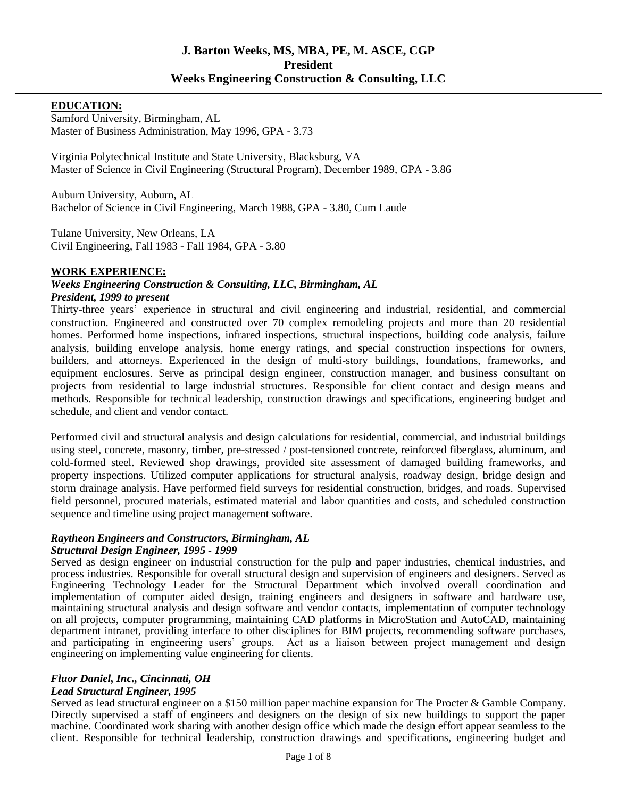#### **EDUCATION:**

Samford University, Birmingham, AL Master of Business Administration, May 1996, GPA - 3.73

Virginia Polytechnical Institute and State University, Blacksburg, VA Master of Science in Civil Engineering (Structural Program), December 1989, GPA - 3.86

Auburn University, Auburn, AL Bachelor of Science in Civil Engineering, March 1988, GPA - 3.80, Cum Laude

Tulane University, New Orleans, LA Civil Engineering, Fall 1983 - Fall 1984, GPA - 3.80

#### **WORK EXPERIENCE:**

#### *Weeks Engineering Construction & Consulting, LLC, Birmingham, AL President, 1999 to present*

Thirty-three years' experience in structural and civil engineering and industrial, residential, and commercial construction. Engineered and constructed over 70 complex remodeling projects and more than 20 residential homes. Performed home inspections, infrared inspections, structural inspections, building code analysis, failure analysis, building envelope analysis, home energy ratings, and special construction inspections for owners, builders, and attorneys. Experienced in the design of multi-story buildings, foundations, frameworks, and equipment enclosures. Serve as principal design engineer, construction manager, and business consultant on projects from residential to large industrial structures. Responsible for client contact and design means and methods. Responsible for technical leadership, construction drawings and specifications, engineering budget and schedule, and client and vendor contact.

Performed civil and structural analysis and design calculations for residential, commercial, and industrial buildings using steel, concrete, masonry, timber, pre-stressed / post-tensioned concrete, reinforced fiberglass, aluminum, and cold-formed steel. Reviewed shop drawings, provided site assessment of damaged building frameworks, and property inspections. Utilized computer applications for structural analysis, roadway design, bridge design and storm drainage analysis. Have performed field surveys for residential construction, bridges, and roads. Supervised field personnel, procured materials, estimated material and labor quantities and costs, and scheduled construction sequence and timeline using project management software.

#### *Raytheon Engineers and Constructors, Birmingham, AL Structural Design Engineer, 1995 - 1999*

Served as design engineer on industrial construction for the pulp and paper industries, chemical industries, and process industries. Responsible for overall structural design and supervision of engineers and designers. Served as Engineering Technology Leader for the Structural Department which involved overall coordination and implementation of computer aided design, training engineers and designers in software and hardware use, maintaining structural analysis and design software and vendor contacts, implementation of computer technology on all projects, computer programming, maintaining CAD platforms in MicroStation and AutoCAD, maintaining department intranet, providing interface to other disciplines for BIM projects, recommending software purchases, and participating in engineering users' groups. Act as a liaison between project management and design engineering on implementing value engineering for clients.

# *Fluor Daniel, Inc., Cincinnati, OH*

# *Lead Structural Engineer, 1995*

Served as lead structural engineer on a \$150 million paper machine expansion for The Procter & Gamble Company. Directly supervised a staff of engineers and designers on the design of six new buildings to support the paper machine. Coordinated work sharing with another design office which made the design effort appear seamless to the client. Responsible for technical leadership, construction drawings and specifications, engineering budget and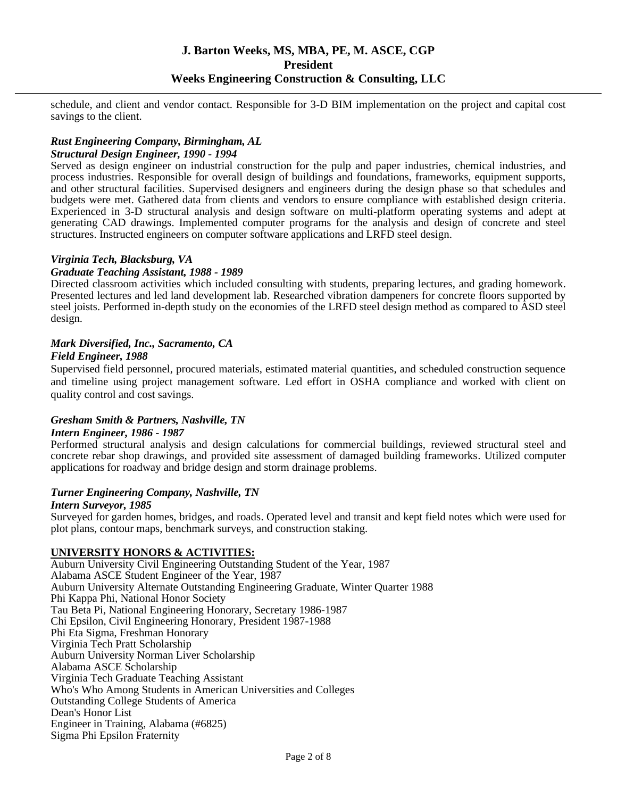schedule, and client and vendor contact. Responsible for 3-D BIM implementation on the project and capital cost savings to the client.

# *Rust Engineering Company, Birmingham, AL*

#### *Structural Design Engineer, 1990 - 1994*

Served as design engineer on industrial construction for the pulp and paper industries, chemical industries, and process industries. Responsible for overall design of buildings and foundations, frameworks, equipment supports, and other structural facilities. Supervised designers and engineers during the design phase so that schedules and budgets were met. Gathered data from clients and vendors to ensure compliance with established design criteria. Experienced in 3-D structural analysis and design software on multi-platform operating systems and adept at generating CAD drawings. Implemented computer programs for the analysis and design of concrete and steel structures. Instructed engineers on computer software applications and LRFD steel design.

#### *Virginia Tech, Blacksburg, VA*

#### *Graduate Teaching Assistant, 1988 - 1989*

Directed classroom activities which included consulting with students, preparing lectures, and grading homework. Presented lectures and led land development lab. Researched vibration dampeners for concrete floors supported by steel joists. Performed in-depth study on the economies of the LRFD steel design method as compared to ASD steel design.

### *Mark Diversified, Inc., Sacramento, CA*

#### *Field Engineer, 1988*

Supervised field personnel, procured materials, estimated material quantities, and scheduled construction sequence and timeline using project management software. Led effort in OSHA compliance and worked with client on quality control and cost savings.

#### *Gresham Smith & Partners, Nashville, TN*

#### *Intern Engineer, 1986 - 1987*

Performed structural analysis and design calculations for commercial buildings, reviewed structural steel and concrete rebar shop drawings, and provided site assessment of damaged building frameworks. Utilized computer applications for roadway and bridge design and storm drainage problems.

#### *Turner Engineering Company, Nashville, TN*

#### *Intern Surveyor, 1985*

Surveyed for garden homes, bridges, and roads. Operated level and transit and kept field notes which were used for plot plans, contour maps, benchmark surveys, and construction staking.

#### **UNIVERSITY HONORS & ACTIVITIES:**

Auburn University Civil Engineering Outstanding Student of the Year, 1987 Alabama ASCE Student Engineer of the Year, 1987 Auburn University Alternate Outstanding Engineering Graduate, Winter Quarter 1988 Phi Kappa Phi, National Honor Society Tau Beta Pi, National Engineering Honorary, Secretary 1986-1987 Chi Epsilon, Civil Engineering Honorary, President 1987-1988 Phi Eta Sigma, Freshman Honorary Virginia Tech Pratt Scholarship Auburn University Norman Liver Scholarship Alabama ASCE Scholarship Virginia Tech Graduate Teaching Assistant Who's Who Among Students in American Universities and Colleges Outstanding College Students of America Dean's Honor List Engineer in Training, Alabama (#6825) Sigma Phi Epsilon Fraternity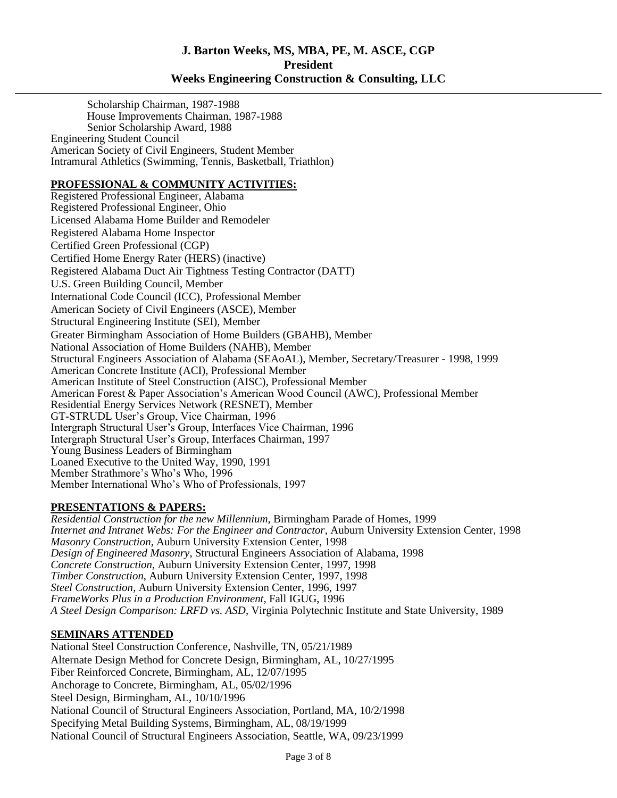Scholarship Chairman, 1987-1988 House Improvements Chairman, 1987-1988 Senior Scholarship Award, 1988 Engineering Student Council American Society of Civil Engineers, Student Member Intramural Athletics (Swimming, Tennis, Basketball, Triathlon)

#### **PROFESSIONAL & COMMUNITY ACTIVITIES:**

Registered Professional Engineer, Alabama Registered Professional Engineer, Ohio Licensed Alabama Home Builder and Remodeler Registered Alabama Home Inspector Certified Green Professional (CGP) Certified Home Energy Rater (HERS) (inactive) Registered Alabama Duct Air Tightness Testing Contractor (DATT) U.S. Green Building Council, Member International Code Council (ICC), Professional Member American Society of Civil Engineers (ASCE), Member Structural Engineering Institute (SEI), Member Greater Birmingham Association of Home Builders (GBAHB), Member National Association of Home Builders (NAHB), Member Structural Engineers Association of Alabama (SEAoAL), Member, Secretary/Treasurer - 1998, 1999 American Concrete Institute (ACI), Professional Member American Institute of Steel Construction (AISC), Professional Member American Forest & Paper Association's American Wood Council (AWC), Professional Member Residential Energy Services Network (RESNET), Member GT-STRUDL User's Group, Vice Chairman, 1996 Intergraph Structural User's Group, Interfaces Vice Chairman, 1996 Intergraph Structural User's Group, Interfaces Chairman, 1997 Young Business Leaders of Birmingham Loaned Executive to the United Way, 1990, 1991 Member Strathmore's Who's Who, 1996 Member International Who's Who of Professionals, 1997

### **PRESENTATIONS & PAPERS:**

*Residential Construction for the new Millennium*, Birmingham Parade of Homes, 1999 *Internet and Intranet Webs: For the Engineer and Contractor*, Auburn University Extension Center, 1998 *Masonry Construction*, Auburn University Extension Center, 1998 *Design of Engineered Masonry*, Structural Engineers Association of Alabama, 1998 *Concrete Construction*, Auburn University Extension Center, 1997, 1998 *Timber Construction*, Auburn University Extension Center, 1997, 1998 *Steel Construction*, Auburn University Extension Center, 1996, 1997 *FrameWorks Plus in a Production Environment*, Fall IGUG, 1996 *A Steel Design Comparison: LRFD vs. ASD*, Virginia Polytechnic Institute and State University, 1989

#### **SEMINARS ATTENDED**

National Steel Construction Conference, Nashville, TN, 05/21/1989 Alternate Design Method for Concrete Design, Birmingham, AL, 10/27/1995 Fiber Reinforced Concrete, Birmingham, AL, 12/07/1995 Anchorage to Concrete, Birmingham, AL, 05/02/1996 Steel Design, Birmingham, AL, 10/10/1996 National Council of Structural Engineers Association, Portland, MA, 10/2/1998 Specifying Metal Building Systems, Birmingham, AL, 08/19/1999 National Council of Structural Engineers Association, Seattle, WA, 09/23/1999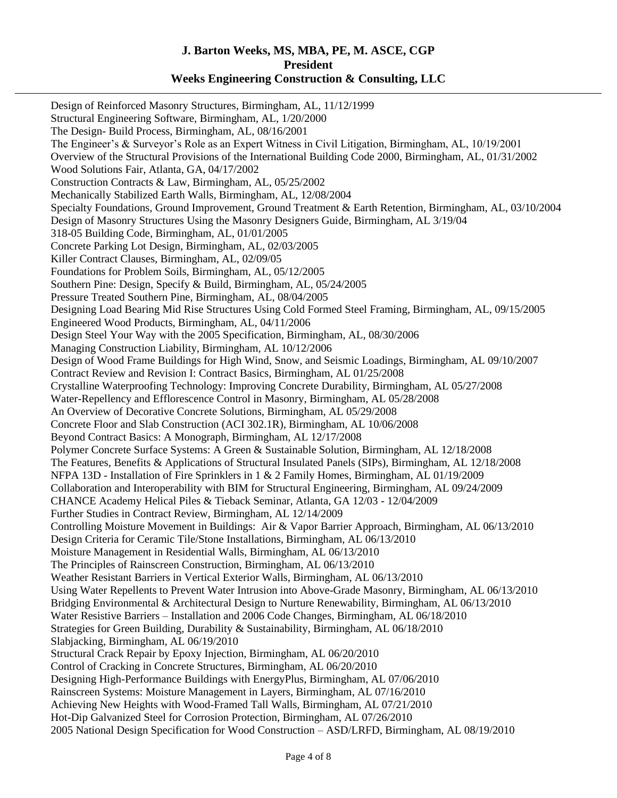Design of Reinforced Masonry Structures, Birmingham, AL, 11/12/1999 Structural Engineering Software, Birmingham, AL, 1/20/2000 The Design- Build Process, Birmingham, AL, 08/16/2001 The Engineer's & Surveyor's Role as an Expert Witness in Civil Litigation, Birmingham, AL, 10/19/2001 Overview of the Structural Provisions of the International Building Code 2000, Birmingham, AL, 01/31/2002 Wood Solutions Fair, Atlanta, GA, 04/17/2002 Construction Contracts & Law, Birmingham, AL, 05/25/2002 Mechanically Stabilized Earth Walls, Birmingham, AL, 12/08/2004 Specialty Foundations, Ground Improvement, Ground Treatment & Earth Retention, Birmingham, AL, 03/10/2004 Design of Masonry Structures Using the Masonry Designers Guide, Birmingham, AL 3/19/04 318-05 Building Code, Birmingham, AL, 01/01/2005 Concrete Parking Lot Design, Birmingham, AL, 02/03/2005 Killer Contract Clauses, Birmingham, AL, 02/09/05 Foundations for Problem Soils, Birmingham, AL, 05/12/2005 Southern Pine: Design, Specify & Build, Birmingham, AL, 05/24/2005 Pressure Treated Southern Pine, Birmingham, AL, 08/04/2005 Designing Load Bearing Mid Rise Structures Using Cold Formed Steel Framing, Birmingham, AL, 09/15/2005 Engineered Wood Products, Birmingham, AL, 04/11/2006 Design Steel Your Way with the 2005 Specification, Birmingham, AL, 08/30/2006 Managing Construction Liability, Birmingham, AL 10/12/2006 Design of Wood Frame Buildings for High Wind, Snow, and Seismic Loadings, Birmingham, AL 09/10/2007 Contract Review and Revision I: Contract Basics, Birmingham, AL 01/25/2008 Crystalline Waterproofing Technology: Improving Concrete Durability, Birmingham, AL 05/27/2008 Water-Repellency and Efflorescence Control in Masonry, Birmingham, AL 05/28/2008 An Overview of Decorative Concrete Solutions, Birmingham, AL 05/29/2008 Concrete Floor and Slab Construction (ACI 302.1R), Birmingham, AL 10/06/2008 Beyond Contract Basics: A Monograph, Birmingham, AL 12/17/2008 Polymer Concrete Surface Systems: A Green & Sustainable Solution, Birmingham, AL 12/18/2008 The Features, Benefits & Applications of Structural Insulated Panels (SIPs), Birmingham, AL 12/18/2008 NFPA 13D - Installation of Fire Sprinklers in 1 & 2 Family Homes, Birmingham, AL 01/19/2009 Collaboration and Interoperability with BIM for Structural Engineering, Birmingham, AL 09/24/2009 CHANCE Academy Helical Piles & Tieback Seminar, Atlanta, GA 12/03 - 12/04/2009 Further Studies in Contract Review, Birmingham, AL 12/14/2009 Controlling Moisture Movement in Buildings: Air & Vapor Barrier Approach, Birmingham, AL 06/13/2010 Design Criteria for Ceramic Tile/Stone Installations, Birmingham, AL 06/13/2010 Moisture Management in Residential Walls, Birmingham, AL 06/13/2010 The Principles of Rainscreen Construction, Birmingham, AL 06/13/2010 Weather Resistant Barriers in Vertical Exterior Walls, Birmingham, AL 06/13/2010 Using Water Repellents to Prevent Water Intrusion into Above-Grade Masonry, Birmingham, AL 06/13/2010 Bridging Environmental & Architectural Design to Nurture Renewability, Birmingham, AL 06/13/2010 Water Resistive Barriers – Installation and 2006 Code Changes, Birmingham, AL 06/18/2010 Strategies for Green Building, Durability & Sustainability, Birmingham, AL 06/18/2010 Slabjacking, Birmingham, AL 06/19/2010 Structural Crack Repair by Epoxy Injection, Birmingham, AL 06/20/2010 Control of Cracking in Concrete Structures, Birmingham, AL 06/20/2010 Designing High-Performance Buildings with EnergyPlus, Birmingham, AL 07/06/2010 Rainscreen Systems: Moisture Management in Layers, Birmingham, AL 07/16/2010 Achieving New Heights with Wood-Framed Tall Walls, Birmingham, AL 07/21/2010 Hot-Dip Galvanized Steel for Corrosion Protection, Birmingham, AL 07/26/2010 2005 National Design Specification for Wood Construction – ASD/LRFD, Birmingham, AL 08/19/2010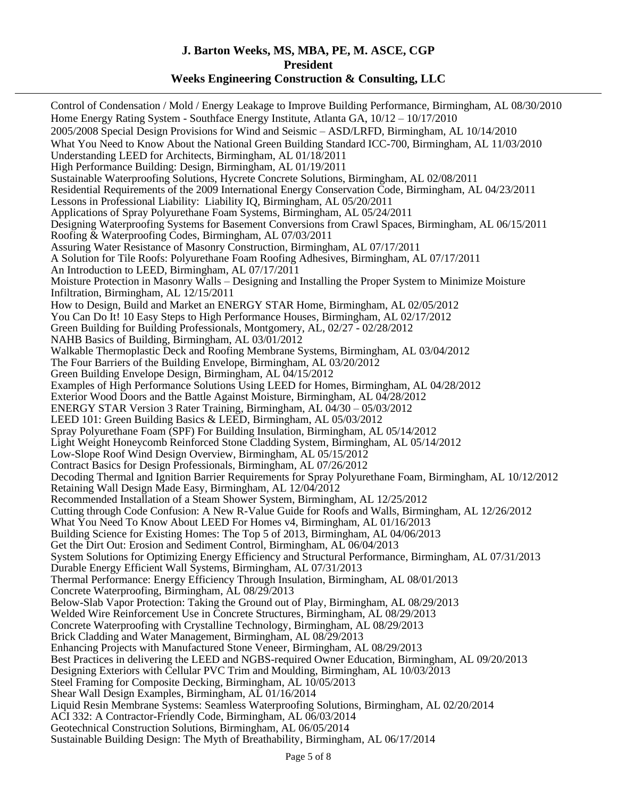Control of Condensation / Mold / Energy Leakage to Improve Building Performance, Birmingham, AL 08/30/2010 Home Energy Rating System - Southface Energy Institute, Atlanta GA, 10/12 – 10/17/2010 2005/2008 Special Design Provisions for Wind and Seismic – ASD/LRFD, Birmingham, AL 10/14/2010 What You Need to Know About the National Green Building Standard ICC-700, Birmingham, AL 11/03/2010 Understanding LEED for Architects, Birmingham, AL 01/18/2011 High Performance Building: Design, Birmingham, AL 01/19/2011 Sustainable Waterproofing Solutions, Hycrete Concrete Solutions, Birmingham, AL 02/08/2011 Residential Requirements of the 2009 International Energy Conservation Code, Birmingham, AL 04/23/2011 Lessons in Professional Liability: Liability IQ, Birmingham, AL 05/20/2011 Applications of Spray Polyurethane Foam Systems, Birmingham, AL 05/24/2011 Designing Waterproofing Systems for Basement Conversions from Crawl Spaces, Birmingham, AL 06/15/2011 Roofing & Waterproofing Codes, Birmingham, AL 07/03/2011 Assuring Water Resistance of Masonry Construction, Birmingham, AL 07/17/2011 A Solution for Tile Roofs: Polyurethane Foam Roofing Adhesives, Birmingham, AL 07/17/2011 An Introduction to LEED, Birmingham, AL 07/17/2011 Moisture Protection in Masonry Walls – Designing and Installing the Proper System to Minimize Moisture Infiltration, Birmingham, AL 12/15/2011 How to Design, Build and Market an ENERGY STAR Home, Birmingham, AL 02/05/2012 You Can Do It! 10 Easy Steps to High Performance Houses, Birmingham, AL 02/17/2012 Green Building for Building Professionals, Montgomery, AL, 02/27 - 02/28/2012 NAHB Basics of Building, Birmingham, AL 03/01/2012 Walkable Thermoplastic Deck and Roofing Membrane Systems, Birmingham, AL 03/04/2012 The Four Barriers of the Building Envelope, Birmingham, AL 03/20/2012 Green Building Envelope Design, Birmingham, AL 04/15/2012 Examples of High Performance Solutions Using LEED for Homes, Birmingham, AL 04/28/2012 Exterior Wood Doors and the Battle Against Moisture, Birmingham, AL 04/28/2012 ENERGY STAR Version 3 Rater Training, Birmingham, AL 04/30 – 05/03/2012 LEED 101: Green Building Basics & LEED, Birmingham, AL 05/03/2012 Spray Polyurethane Foam (SPF) For Building Insulation, Birmingham, AL 05/14/2012 Light Weight Honeycomb Reinforced Stone Cladding System, Birmingham, AL 05/14/2012 Low-Slope Roof Wind Design Overview, Birmingham, AL 05/15/2012 Contract Basics for Design Professionals, Birmingham, AL 07/26/2012 Decoding Thermal and Ignition Barrier Requirements for Spray Polyurethane Foam, Birmingham, AL 10/12/2012 Retaining Wall Design Made Easy, Birmingham, AL 12/04/2012 Recommended Installation of a Steam Shower System, Birmingham, AL 12/25/2012 Cutting through Code Confusion: A New R-Value Guide for Roofs and Walls, Birmingham, AL 12/26/2012 What You Need To Know About LEED For Homes v4, Birmingham, AL 01/16/2013 Building Science for Existing Homes: The Top 5 of 2013, Birmingham, AL 04/06/2013 Get the Dirt Out: Erosion and Sediment Control, Birmingham, AL 06/04/2013 System Solutions for Optimizing Energy Efficiency and Structural Performance, Birmingham, AL 07/31/2013 Durable Energy Efficient Wall Systems, Birmingham, AL 07/31/2013 Thermal Performance: Energy Efficiency Through Insulation, Birmingham, AL 08/01/2013 Concrete Waterproofing, Birmingham, AL 08/29/2013 Below-Slab Vapor Protection: Taking the Ground out of Play, Birmingham, AL 08/29/2013 Welded Wire Reinforcement Use in Concrete Structures, Birmingham, AL 08/29/2013 Concrete Waterproofing with Crystalline Technology, Birmingham, AL 08/29/2013 Brick Cladding and Water Management, Birmingham, AL 08/29/2013 Enhancing Projects with Manufactured Stone Veneer, Birmingham, AL 08/29/2013 Best Practices in delivering the LEED and NGBS-required Owner Education, Birmingham, AL 09/20/2013 Designing Exteriors with Cellular PVC Trim and Moulding, Birmingham, AL 10/03/2013 Steel Framing for Composite Decking, Birmingham, AL 10/05/2013 Shear Wall Design Examples, Birmingham, AL 01/16/2014 Liquid Resin Membrane Systems: Seamless Waterproofing Solutions, Birmingham, AL 02/20/2014 ACI 332: A Contractor-Friendly Code, Birmingham, AL 06/03/2014 Geotechnical Construction Solutions, Birmingham, AL 06/05/2014 Sustainable Building Design: The Myth of Breathability, Birmingham, AL 06/17/2014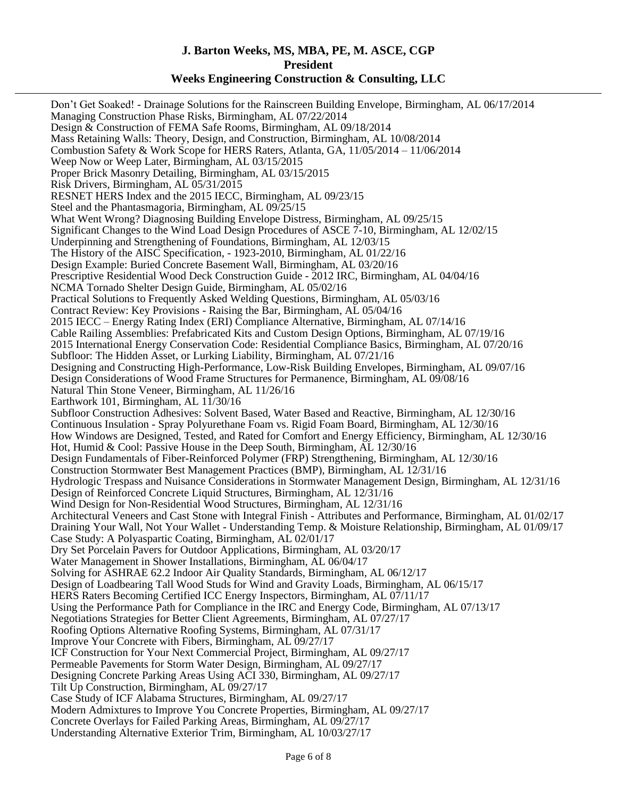Don't Get Soaked! - Drainage Solutions for the Rainscreen Building Envelope, Birmingham, AL 06/17/2014 Managing Construction Phase Risks, Birmingham, AL 07/22/2014 Design & Construction of FEMA Safe Rooms, Birmingham, AL 09/18/2014 Mass Retaining Walls: Theory, Design, and Construction, Birmingham, AL 10/08/2014 Combustion Safety & Work Scope for HERS Raters, Atlanta, GA, 11/05/2014 – 11/06/2014 Weep Now or Weep Later, Birmingham, AL 03/15/2015 Proper Brick Masonry Detailing, Birmingham, AL 03/15/2015 Risk Drivers, Birmingham, AL 05/31/2015 RESNET HERS Index and the 2015 IECC, Birmingham, AL 09/23/15 Steel and the Phantasmagoria, Birmingham, AL 09/25/15 What Went Wrong? Diagnosing Building Envelope Distress, Birmingham, AL 09/25/15 Significant Changes to the Wind Load Design Procedures of ASCE 7-10, Birmingham, AL 12/02/15 Underpinning and Strengthening of Foundations, Birmingham, AL 12/03/15 The History of the AISC Specification, - 1923-2010, Birmingham, AL 01/22/16 Design Example: Buried Concrete Basement Wall, Birmingham, AL 03/20/16 Prescriptive Residential Wood Deck Construction Guide - 2012 IRC, Birmingham, AL 04/04/16 NCMA Tornado Shelter Design Guide, Birmingham, AL 05/02/16 Practical Solutions to Frequently Asked Welding Questions, Birmingham, AL 05/03/16 Contract Review: Key Provisions - Raising the Bar, Birmingham, AL 05/04/16 2015 IECC – Energy Rating Index (ERI) Compliance Alternative, Birmingham, AL 07/14/16 Cable Railing Assemblies: Prefabricated Kits and Custom Design Options, Birmingham, AL 07/19/16 2015 International Energy Conservation Code: Residential Compliance Basics, Birmingham, AL 07/20/16 Subfloor: The Hidden Asset, or Lurking Liability, Birmingham, AL 07/21/16 Designing and Constructing High-Performance, Low-Risk Building Envelopes, Birmingham, AL 09/07/16 Design Considerations of Wood Frame Structures for Permanence, Birmingham, AL 09/08/16 Natural Thin Stone Veneer, Birmingham, AL 11/26/16 Earthwork 101, Birmingham, AL 11/30/16 Subfloor Construction Adhesives: Solvent Based, Water Based and Reactive, Birmingham, AL 12/30/16 Continuous Insulation - Spray Polyurethane Foam vs. Rigid Foam Board, Birmingham, AL 12/30/16 How Windows are Designed, Tested, and Rated for Comfort and Energy Efficiency, Birmingham, AL 12/30/16 Hot, Humid & Cool: Passive House in the Deep South, Birmingham, AL 12/30/16 Design Fundamentals of Fiber-Reinforced Polymer (FRP) Strengthening, Birmingham, AL 12/30/16 Construction Stormwater Best Management Practices (BMP), Birmingham, AL 12/31/16 Hydrologic Trespass and Nuisance Considerations in Stormwater Management Design, Birmingham, AL 12/31/16 Design of Reinforced Concrete Liquid Structures, Birmingham, AL 12/31/16 Wind Design for Non-Residential Wood Structures, Birmingham, AL 12/31/16 Architectural Veneers and Cast Stone with Integral Finish - Attributes and Performance, Birmingham, AL 01/02/17 Draining Your Wall, Not Your Wallet - Understanding Temp. & Moisture Relationship, Birmingham, AL 01/09/17 Case Study: A Polyaspartic Coating, Birmingham, AL 02/01/17 Dry Set Porcelain Pavers for Outdoor Applications, Birmingham, AL 03/20/17 Water Management in Shower Installations, Birmingham, AL 06/04/17 Solving for ASHRAE 62.2 Indoor Air Quality Standards, Birmingham, AL 06/12/17 Design of Loadbearing Tall Wood Studs for Wind and Gravity Loads, Birmingham, AL 06/15/17 HERS Raters Becoming Certified ICC Energy Inspectors, Birmingham, AL 07/11/17 Using the Performance Path for Compliance in the IRC and Energy Code, Birmingham, AL 07/13/17 Negotiations Strategies for Better Client Agreements, Birmingham, AL 07/27/17 Roofing Options Alternative Roofing Systems, Birmingham, AL 07/31/17 Improve Your Concrete with Fibers, Birmingham, AL 09/27/17 ICF Construction for Your Next Commercial Project, Birmingham, AL 09/27/17 Permeable Pavements for Storm Water Design, Birmingham, AL 09/27/17 Designing Concrete Parking Areas Using ACI 330, Birmingham, AL 09/27/17 Tilt Up Construction, Birmingham, AL 09/27/17 Case Study of ICF Alabama Structures, Birmingham, AL 09/27/17 Modern Admixtures to Improve You Concrete Properties, Birmingham, AL 09/27/17 Concrete Overlays for Failed Parking Areas, Birmingham, AL 09/27/17 Understanding Alternative Exterior Trim, Birmingham, AL 10/03/27/17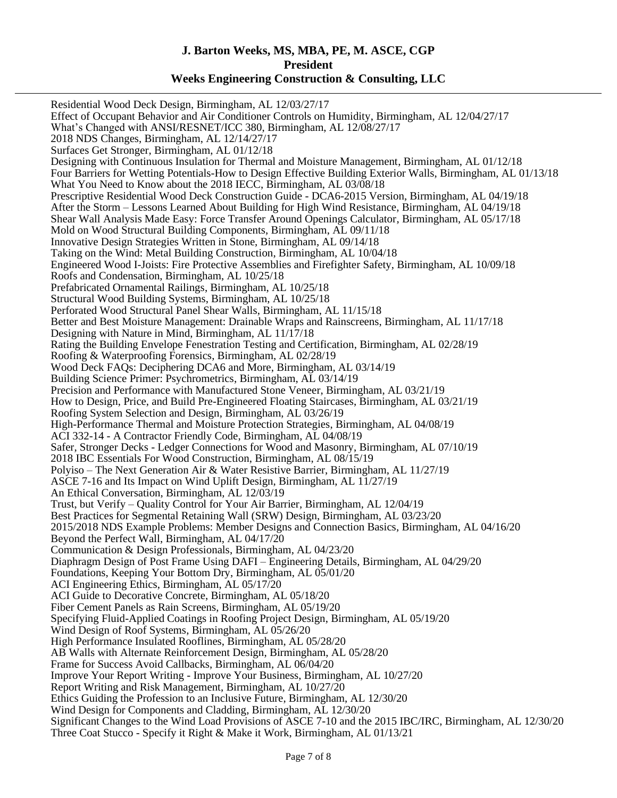Residential Wood Deck Design, Birmingham, AL 12/03/27/17 Effect of Occupant Behavior and Air Conditioner Controls on Humidity, Birmingham, AL 12/04/27/17 What's Changed with ANSI/RESNET/ICC 380, Birmingham, AL 12/08/27/17 2018 NDS Changes, Birmingham, AL 12/14/27/17 Surfaces Get Stronger, Birmingham, AL 01/12/18 Designing with Continuous Insulation for Thermal and Moisture Management, Birmingham, AL 01/12/18 Four Barriers for Wetting Potentials-How to Design Effective Building Exterior Walls, Birmingham, AL 01/13/18 What You Need to Know about the 2018 IECC, Birmingham, AL 03/08/18 Prescriptive Residential Wood Deck Construction Guide - DCA6-2015 Version, Birmingham, AL 04/19/18 After the Storm – Lessons Learned About Building for High Wind Resistance, Birmingham, AL 04/19/18 Shear Wall Analysis Made Easy: Force Transfer Around Openings Calculator, Birmingham, AL 05/17/18 Mold on Wood Structural Building Components, Birmingham, AL 09/11/18 Innovative Design Strategies Written in Stone, Birmingham, AL 09/14/18 Taking on the Wind: Metal Building Construction, Birmingham, AL 10/04/18 Engineered Wood I-Joists: Fire Protective Assemblies and Firefighter Safety, Birmingham, AL 10/09/18 Roofs and Condensation, Birmingham, AL 10/25/18 Prefabricated Ornamental Railings, Birmingham, AL 10/25/18 Structural Wood Building Systems, Birmingham, AL 10/25/18 Perforated Wood Structural Panel Shear Walls, Birmingham, AL 11/15/18 Better and Best Moisture Management: Drainable Wraps and Rainscreens, Birmingham, AL 11/17/18 Designing with Nature in Mind, Birmingham, AL 11/17/18 Rating the Building Envelope Fenestration Testing and Certification, Birmingham, AL 02/28/19 Roofing & Waterproofing Forensics, Birmingham, AL 02/28/19 Wood Deck FAQs: Deciphering DCA6 and More, Birmingham, AL 03/14/19 Building Science Primer: Psychrometrics, Birmingham, AL 03/14/19 Precision and Performance with Manufactured Stone Veneer, Birmingham, AL 03/21/19 How to Design, Price, and Build Pre-Engineered Floating Staircases, Birmingham, AL 03/21/19 Roofing System Selection and Design, Birmingham, AL 03/26/19 High-Performance Thermal and Moisture Protection Strategies, Birmingham, AL 04/08/19 ACI 332-14 - A Contractor Friendly Code, Birmingham, AL 04/08/19 Safer, Stronger Decks - Ledger Connections for Wood and Masonry, Birmingham, AL 07/10/19 2018 IBC Essentials For Wood Construction, Birmingham, AL 08/15/19 Polyiso – The Next Generation Air & Water Resistive Barrier, Birmingham, AL 11/27/19 ASCE 7-16 and Its Impact on Wind Uplift Design, Birmingham, AL 11/27/19 An Ethical Conversation, Birmingham, AL 12/03/19 Trust, but Verify – Quality Control for Your Air Barrier, Birmingham, AL 12/04/19 Best Practices for Segmental Retaining Wall (SRW) Design, Birmingham, AL 03/23/20 2015/2018 NDS Example Problems: Member Designs and Connection Basics, Birmingham, AL 04/16/20 Beyond the Perfect Wall, Birmingham, AL 04/17/20 Communication & Design Professionals, Birmingham, AL 04/23/20 Diaphragm Design of Post Frame Using DAFI – Engineering Details, Birmingham, AL 04/29/20 Foundations, Keeping Your Bottom Dry, Birmingham, AL 05/01/20 ACI Engineering Ethics, Birmingham, AL 05/17/20 ACI Guide to Decorative Concrete, Birmingham, AL 05/18/20 Fiber Cement Panels as Rain Screens, Birmingham, AL 05/19/20 Specifying Fluid-Applied Coatings in Roofing Project Design, Birmingham, AL 05/19/20 Wind Design of Roof Systems, Birmingham, AL 05/26/20 High Performance Insulated Rooflines, Birmingham, AL 05/28/20 AB Walls with Alternate Reinforcement Design, Birmingham, AL 05/28/20 Frame for Success Avoid Callbacks, Birmingham, AL 06/04/20 Improve Your Report Writing - Improve Your Business, Birmingham, AL 10/27/20 Report Writing and Risk Management, Birmingham, AL 10/27/20 Ethics Guiding the Profession to an Inclusive Future, Birmingham, AL 12/30/20 Wind Design for Components and Cladding, Birmingham, AL 12/30/20 Significant Changes to the Wind Load Provisions of ASCE 7-10 and the 2015 IBC/IRC, Birmingham, AL 12/30/20 Three Coat Stucco - Specify it Right & Make it Work, Birmingham, AL 01/13/21